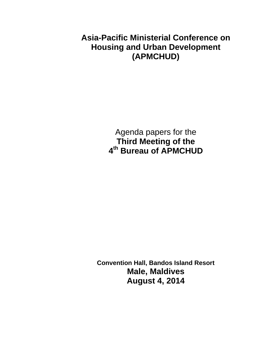**Asia-Pacific Ministerial Conference on Housing and Urban Development (APMCHUD)** 

> Agenda papers for the **Third Meeting of the 4th Bureau of APMCHUD**

**Convention Hall, Bandos Island Resort Male, Maldives August 4, 2014**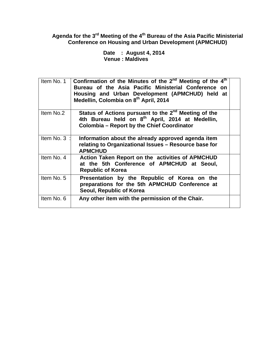**Agenda for the 3rd Meeting of the 4th Bureau of the Asia Pacific Ministerial Conference on Housing and Urban Development (APMCHUD)** 

 **Date : August 4, 2014 Venue : Maldives** 

| Item No. 1 | Confirmation of the Minutes of the $2^{nd}$ Meeting of the $4^{th}$<br>Bureau of the Asia Pacific Ministerial Conference on<br>Housing and Urban Development (APMCHUD) held at<br>Medellin, Colombia on 8th April, 2014 |
|------------|-------------------------------------------------------------------------------------------------------------------------------------------------------------------------------------------------------------------------|
| Item No.2  | Status of Actions pursuant to the 2 <sup>nd</sup> Meeting of the<br>4th Bureau held on 8 <sup>th</sup> April, 2014 at Medellin,<br><b>Colombia - Report by the Chief Coordinator</b>                                    |
| Item No. 3 | Information about the already approved agenda item<br>relating to Organizational Issues - Resource base for<br><b>APMCHUD</b>                                                                                           |
| Item No. 4 | <b>Action Taken Report on the activities of APMCHUD</b><br>at the 5th Conference of APMCHUD at Seoul,<br><b>Republic of Korea</b>                                                                                       |
| Item No. 5 | Presentation by the Republic of Korea on the<br>preparations for the 5th APMCHUD Conference at<br>Seoul, Republic of Korea                                                                                              |
| Item No. 6 | Any other item with the permission of the Chair.                                                                                                                                                                        |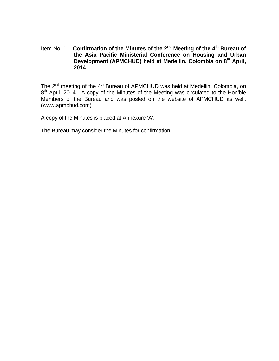### Item No. 1: Confirmation of the Minutes of the 2<sup>nd</sup> Meeting of the 4<sup>th</sup> Bureau of **the Asia Pacific Ministerial Conference on Housing and Urban**  Development (APMCHUD) held at Medellin, Colombia on 8<sup>th</sup> April, **2014**

The 2<sup>nd</sup> meeting of the 4<sup>th</sup> Bureau of APMCHUD was held at Medellin, Colombia, on 8<sup>th</sup> April, 2014. A copy of the Minutes of the Meeting was circulated to the Hon'ble Members of the Bureau and was posted on the website of APMCHUD as well. (www.apmchud.com)

A copy of the Minutes is placed at Annexure 'A'.

The Bureau may consider the Minutes for confirmation.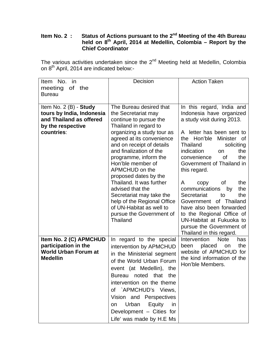### **Item No. 2 : Status of Actions pursuant to the 2<sup>nd</sup> Meeting of the 4th Bureau held on 8th April, 2014 at Medellin, Colombia – Report by the Chief Coordinator**

The various activities undertaken since the  $2^{nd}$  Meeting held at Medellin, Colombia on 8<sup>th</sup> April, 2014 are indicated below:-

| Item No. in                 | Decision                                          | <b>Action Taken</b>                            |
|-----------------------------|---------------------------------------------------|------------------------------------------------|
| meeting<br>of the           |                                                   |                                                |
| <b>Bureau</b>               |                                                   |                                                |
|                             |                                                   |                                                |
| Item No. $2(B)$ - Study     | The Bureau desired that                           | In this regard, India and                      |
| tours by India, Indonesia   | the Secretariat may                               | Indonesia have organized                       |
| and Thailand as offered     | continue to pursue the                            | a study visit during 2013.                     |
| by the respective           | Thailand in regard to                             |                                                |
| countries:                  | organizing a study tour as                        | A letter has been sent to                      |
|                             | agreed at its convenience                         | the Hon'ble<br>Minister<br>0f                  |
|                             | and on receipt of details                         | Thailand<br>soliciting                         |
|                             | and finalization of the                           | the<br>indication<br><b>on</b>                 |
|                             | programme, inform the                             | convenience<br><b>of</b><br>the                |
|                             | Hon'ble member of                                 | Government of Thailand in                      |
|                             | APMCHUD on the                                    | this regard.                                   |
|                             | proposed dates by the<br>Thailand. It was further | the                                            |
|                             | advised that the                                  | A<br>0f<br>copy<br>communications<br>the<br>by |
|                             | Secretariat may take the                          | Secretariat<br>the<br>to                       |
|                             | help of the Regional Office                       | Government of Thailand                         |
|                             | of UN-Habitat as well to                          | have also been forwarded                       |
|                             | pursue the Government of                          | to the Regional Office of                      |
|                             | <b>Thailand</b>                                   | UN-Habitat at Fukuoka to                       |
|                             |                                                   | pursue the Government of                       |
|                             |                                                   | Thailand in this regard.                       |
| Item No. 2 (C) APMCHUD      | In regard to the special                          | <b>Note</b><br>Intervention<br>has             |
| participation in the        | intervention by APMCHUD                           | the<br>been<br>placed<br>on                    |
| <b>World Urban Forum at</b> | in the Ministerial segment                        | website of APMCHUD for                         |
| <b>Medellin</b>             | of the World Urban Forum                          | the kind information of the                    |
|                             |                                                   | Hon'ble Members.                               |
|                             | event (at Medellin), the                          |                                                |
|                             | Bureau noted that<br>the                          |                                                |
|                             | intervention on the theme                         |                                                |
|                             | of `APMCHUD's Views,                              |                                                |
|                             | Vision and Perspectives                           |                                                |
|                             | Urban<br>Equity<br>in<br>on                       |                                                |
|                             | Development - Cities for                          |                                                |
|                             |                                                   |                                                |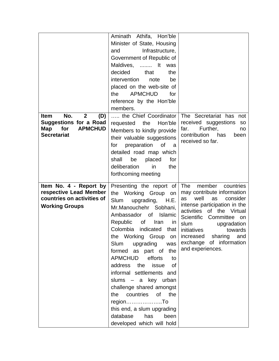| No.<br>$\mathbf{2}$<br><b>Item</b><br>(D)<br><b>Suggestions for a Road</b><br>Map<br>for<br><b>APMCHUD</b><br><b>Secretariat</b> | Aminath Athifa, Hon'ble<br>Minister of State, Housing<br>Infrastructure,<br>and<br>Government of Republic of<br>Maldives,  It<br>was<br>decided<br>that<br>the<br>intervention<br>note<br>be<br>placed on the web-site of<br><b>APMCHUD</b><br>the<br>for<br>reference by the Hon'ble<br>members.<br>the Chief Coordinator<br>the<br>Hon'ble<br>requested<br>Members to kindly provide<br>their valuable suggestions<br>preparation<br>of<br>for<br>a<br>detailed road map which<br>shall<br>be<br>placed<br>for<br>deliberation<br>in<br>the<br>forthcoming meeting | The Secretariat has<br>not<br>received suggestions<br><b>SO</b><br>Further,<br>far.<br>no<br>contribution<br>has<br>been<br>received so far.                                                                                                                                                                           |
|----------------------------------------------------------------------------------------------------------------------------------|----------------------------------------------------------------------------------------------------------------------------------------------------------------------------------------------------------------------------------------------------------------------------------------------------------------------------------------------------------------------------------------------------------------------------------------------------------------------------------------------------------------------------------------------------------------------|------------------------------------------------------------------------------------------------------------------------------------------------------------------------------------------------------------------------------------------------------------------------------------------------------------------------|
| Item No. 4 - Report by<br>respective Lead Member<br>countries on activities of<br><b>Working Groups</b>                          | Presenting the report of<br>the Working Group<br>on<br>Slum<br>upgrading,<br>H.E.<br>Mr.Manouchehr Sobhani,<br>Ambassador of<br>Islamic<br>Republic<br>οf<br>Iran<br>in<br>Colombia<br>indicated<br>that<br>the Working Group on<br>Slum<br>upgrading<br>was<br>formed as part of the<br><b>APMCHUD</b><br>efforts<br>to<br>address the<br>issue<br>of<br>informal settlements and<br>slums - a key urban<br>challenge shared amongst<br>the countries of the<br>regionTo<br>this end, a slum upgrading<br>database has<br>been<br>developed which will hold         | <b>The</b><br>member<br>countries<br>may contribute information<br>well<br>consider<br>as<br>as<br>intense participation in the<br>activities<br>of the Virtual<br>Scientific<br>Committee on<br>slum<br>upgradation<br>initiatives<br>towards<br>increased sharing and<br>exchange of information<br>and experiences. |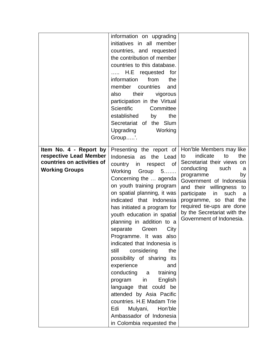|                                                                                                         | information on upgrading<br>initiatives in all member<br>countries, and requested<br>the contribution of member<br>countries to this database.<br>H.E requested for<br>from<br>information<br>the<br>member countries<br>and<br>their<br>also<br>vigorous<br>participation in the Virtual<br>Scientific<br>Committee<br>established<br>the<br>by<br>Secretariat of the Slum<br>Upgrading<br>Working<br>Group'.                                                                                                                                                                                                                                                                                                                  |                                                                                                                                                                                                                                                                                                                                                |
|---------------------------------------------------------------------------------------------------------|---------------------------------------------------------------------------------------------------------------------------------------------------------------------------------------------------------------------------------------------------------------------------------------------------------------------------------------------------------------------------------------------------------------------------------------------------------------------------------------------------------------------------------------------------------------------------------------------------------------------------------------------------------------------------------------------------------------------------------|------------------------------------------------------------------------------------------------------------------------------------------------------------------------------------------------------------------------------------------------------------------------------------------------------------------------------------------------|
| Item No. 4 - Report by<br>respective Lead Member<br>countries on activities of<br><b>Working Groups</b> | Presenting the report of<br>Indonesia as the Lead<br>country in respect<br><b>of</b><br>Working<br>Group 5<br>Concerning the  agenda<br>on youth training program<br>on spatial planning, it was<br>indicated that Indonesia<br>has initiated a program for<br>youth education in spatial<br>planning in addition to a<br>Green<br>separate<br>City<br>Programme. It was also<br>indicated that Indonesia is<br>still<br>considering<br>the<br>possibility of sharing<br>its<br>experience<br>and<br>conducting a<br>training<br>English<br>program in<br>language that could be<br>attended by Asia Pacific<br>countries. H.E Madam Trie<br>Edi<br>Mulyani,<br>Hon'ble<br>Ambassador of Indonesia<br>in Colombia requested the | Hon'ble Members may like<br>indicate<br>the<br>to<br>to<br>Secretariat their views on<br>conducting<br>such<br>a<br>programme<br>by<br>Government of Indonesia<br>and their willingness to<br>participate<br>in<br>such<br>a<br>programme, so that the<br>required tie-ups are done<br>by the Secretariat with the<br>Government of Indonesia. |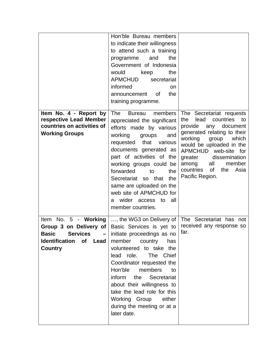|                                                                                                                                                     | Hon'ble Bureau members<br>to indicate their willingness<br>to attend such a training<br>the<br>programme<br>and<br>Government of Indonesia<br>would<br>keep<br>the<br>APMCHUD<br>secretariat<br>informed<br><b>on</b><br>announcement of<br>the<br>training programme.                                                                                                                              |                                                                                                                                                                                                                                                                                                                     |
|-----------------------------------------------------------------------------------------------------------------------------------------------------|-----------------------------------------------------------------------------------------------------------------------------------------------------------------------------------------------------------------------------------------------------------------------------------------------------------------------------------------------------------------------------------------------------|---------------------------------------------------------------------------------------------------------------------------------------------------------------------------------------------------------------------------------------------------------------------------------------------------------------------|
| Item No. 4 - Report by<br>respective Lead Member<br>countries on activities of<br><b>Working Groups</b>                                             | The<br>members<br>Bureau<br>appreciated the significant<br>efforts made by various<br>working<br>groups<br>and<br>requested<br>that<br>various<br>documents generated as<br>part of activities of the<br>working groups could be<br>forwarded<br>to<br>the<br>Secretariat so that<br>the<br>same are uploaded on the<br>web site of APMCHUD for<br>wider access to<br>all<br>a<br>member countries. | The Secretariat requests<br>countries<br>the<br>lead<br>to<br>provide<br>document<br>any<br>generated relating to their<br>working<br>which<br>group<br>would be uploaded in the<br>APMCHUD web-site for<br>dissemination<br>greater<br>member<br>among<br>all<br>countries<br>of<br>the<br>Asia<br>Pacific Region. |
| Item No. $5 -$ Working<br>Group 3 on Delivery of<br><b>Basic</b><br><b>Services</b><br><b>Identification</b><br><b>of</b><br>Lead<br><b>Country</b> | , the WG3 on Delivery of<br>Basic Services is yet to<br>initiate proceedings as no<br>member<br>country<br>has<br>volunteered to take the<br>lead role.<br>The Chief<br>Coordinator requested the<br>Hon'ble<br>members<br>to<br>inform the<br>Secretariat<br>about their willingness to<br>take the lead role for this<br>Working Group<br>either<br>during the meeting or at a<br>later date.     | The Secretariat has not<br>received any response so<br>far.                                                                                                                                                                                                                                                         |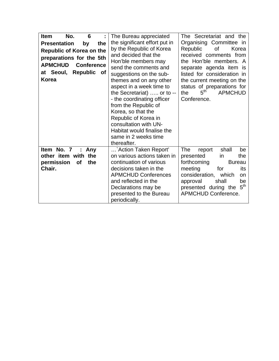| <b>Item</b><br>No.<br>6                                                                                                                                                               | The Bureau appreciated                                                                                                                                                                                                                                                                                                                                                                                                                              | The Secretariat and the                                                                                                                                                                                                                                                              |
|---------------------------------------------------------------------------------------------------------------------------------------------------------------------------------------|-----------------------------------------------------------------------------------------------------------------------------------------------------------------------------------------------------------------------------------------------------------------------------------------------------------------------------------------------------------------------------------------------------------------------------------------------------|--------------------------------------------------------------------------------------------------------------------------------------------------------------------------------------------------------------------------------------------------------------------------------------|
| <b>Presentation</b><br>the<br>by<br>Republic of Korea on the<br>preparations for the 5th<br><b>APMCHUD</b><br><b>Conference</b><br>Republic<br>at Seoul,<br><b>of</b><br><b>Korea</b> | the significant effort put in<br>by the Republic of Korea<br>and decided that the<br>Hon'ble members may<br>send the comments and<br>suggestions on the sub-<br>themes and on any other<br>aspect in a week time to<br>the Secretariat)  or to --<br>- the coordinating officer<br>from the Republic of<br>Korea, so that the<br>Republic of Korea in<br>consultation with UN-<br>Habitat would finalise the<br>same in 2 weeks time<br>thereafter. | Organising Committee in<br>Republic<br>οf<br>Korea<br>received comments from<br>the Hon'ble members. A<br>separate agenda item is<br>listed for consideration in<br>the current meeting on the<br>status of preparations for<br>$5^{\sf th}$<br><b>APMCHUD</b><br>the<br>Conference. |
| Item No. 7<br>Any<br>÷<br>other item with the<br>the<br>permission<br><b>of</b><br>Chair.                                                                                             | Action Taken Report'<br>on various actions taken in<br>continuation of various<br>decisions taken in the<br><b>APMCHUD Conferences</b><br>and reflected in the<br>Declarations may be<br>presented to the Bureau<br>periodically.                                                                                                                                                                                                                   | The<br>shall<br>report<br>be<br>the<br>presented<br>in<br>forthcoming<br><b>Bureau</b><br>meeting<br>for<br>its<br>consideration,<br>which<br>on<br>shall<br>approval<br>be<br>5 <sup>th</sup><br>presented during the<br><b>APMCHUD Conference.</b>                                 |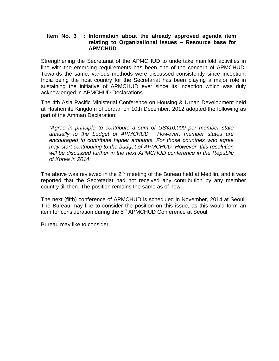### **Item No. 3 : Information about the already approved agenda item relating to Organizational Issues – Resource base for APMCHUD**

Strengthening the Secretariat of the APMCHUD to undertake manifold activities in line with the emerging requirements has been one of the concern of APMCHUD. Towards the same, various methods were discussed consistently since inception. India being the host country for the Secretariat has been playing a major role in sustaining the initiative of APMCHUD ever since its inception which was duly acknowledged in APMCHUD Declarations.

The 4th Asia Pacific Ministerial Conference on Housing & Urban Development held at Hashemite Kingdom of Jordan on 10th December, 2012 adopted the following as part of the Amman Declaration:

*"Agree in principle to contribute a sum of US\$10,000 per member state annually to the budget of APMCHUD. However, member states are encouraged to contribute higher amounts. For those countries who agree may start contributing to the budget of APMCHUD. However, this resolution will be discussed further in the next APMCHUD conference in the Republic of Korea in 2014"* 

The above was reviewed in the  $2<sup>nd</sup>$  meeting of the Bureau held at Medllin, and it was reported that the Secretariat had not received any contribution by any member country till then. The position remains the same as of now.

The next (fifth) conference of APMCHUD is scheduled in November, 2014 at Seoul. The Bureau may like to consider the position on this issue, as this would form an item for consideration during the 5<sup>th</sup> APMCHUD Conference at Seoul.

Bureau may like to consider.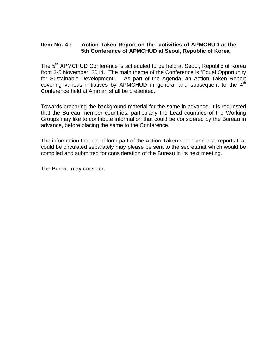### **Item No. 4 : Action Taken Report on the activities of APMCHUD at the 5th Conference of APMCHUD at Seoul, Republic of Korea**

The 5<sup>th</sup> APMCHUD Conference is scheduled to be held at Seoul, Republic of Korea from 3-5 November, 2014. The main theme of the Conference is 'Equal Opportunity for Sustainable Development'. As part of the Agenda, an Action Taken Report covering various initiatives by APMCHUD in general and subsequent to the  $4<sup>th</sup>$ Conference held at Amman shall be presented.

Towards preparing the background material for the same in advance, it is requested that the Bureau member countries, particularly the Lead countries of the Working Groups may like to contribute information that could be considered by the Bureau in advance, before placing the same to the Conference.

The information that could form part of the Action Taken report and also reports that could be circulated separately may please be sent to the secretariat which would be compiled and submitted for consideration of the Bureau in its next meeting.

The Bureau may consider.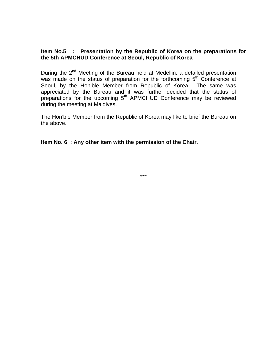### **Item No.5 : Presentation by the Republic of Korea on the preparations for the 5th APMCHUD Conference at Seoul, Republic of Korea**

During the  $2^{nd}$  Meeting of the Bureau held at Medellin, a detailed presentation was made on the status of preparation for the forthcoming 5<sup>th</sup> Conference at Seoul, by the Hon'ble Member from Republic of Korea. The same was appreciated by the Bureau and it was further decided that the status of preparations for the upcoming  $5<sup>th</sup>$  APMCHUD Conference may be reviewed during the meeting at Maldives.

The Hon'ble Member from the Republic of Korea may like to brief the Bureau on the above.

**Item No. 6 : Any other item with the permission of the Chair.** 

\*\*\*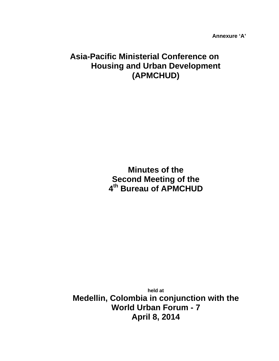**Annexure 'A'** 

# **Asia-Pacific Ministerial Conference on Housing and Urban Development (APMCHUD)**

**Minutes of the Second Meeting of the 4th Bureau of APMCHUD**

**held at Medellin, Colombia in conjunction with the World Urban Forum - 7 April 8, 2014**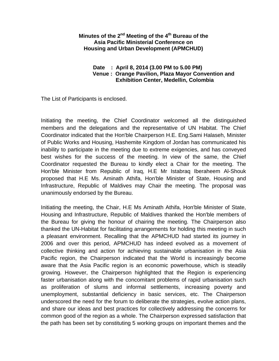### **Minutes of the 2nd Meeting of the 4th Bureau of the Asia Pacific Ministerial Conference on Housing and Urban Development (APMCHUD)**

### **Date : April 8, 2014 (3.00 PM to 5.00 PM) Venue : Orange Pavilion, Plaza Mayor Convention and Exhibition Center, Medellin, Colombia**

The List of Participants is enclosed.

Initiating the meeting, the Chief Coordinator welcomed all the distinguished members and the delegations and the representative of UN Habitat. The Chief Coordinator indicated that the Hon'ble Chairperson H.E. Eng.Sami Halaseh, Minister of Public Works and Housing, Hashemite Kingdom of Jordan has communicated his inability to participate in the meeting due to extreme exigencies, and has conveyed best wishes for the success of the meeting. In view of the same, the Chief Coordinator requested the Bureau to kindly elect a Chair for the meeting. The Hon'ble Minister from Republic of Iraq, H.E Mr Istabraq Iberaheem Al-Shouk proposed that H.E Ms. Aminath Athifa, Hon'ble Minister of State, Housing and Infrastructure, Republic of Maldives may Chair the meeting. The proposal was unanimously endorsed by the Bureau.

Initiating the meeting, the Chair, H.E Ms Aminath Athifa, Hon'ble Minister of State, Housing and Infrastructure, Republic of Maldives thanked the Hon'ble members of the Bureau for giving the honour of chairing the meeting. The Chairperson also thanked the UN-Habitat for facilitating arrangements for holding this meeting in such a pleasant environment. Recalling that the APMCHUD had started its journey in 2006 and over this period, APMCHUD has indeed evolved as a movement of collective thinking and action for achieving sustainable urbanisation in the Asia Pacific region, the Chairperson indicated that the World is increasingly become aware that the Asia Pacific region is an economic powerhouse, which is steadily growing. However, the Chairperson highlighted that the Region is experiencing faster urbanisation along with the concomitant problems of rapid urbanisation such as proliferation of slums and informal settlements, increasing poverty and unemployment, substantial deficiency in basic services, etc. The Chairperson underscored the need for the forum to deliberate the strategies, evolve action plans, and share our ideas and best practices for collectively addressing the concerns for common good of the region as a whole. The Chairperson expressed satisfaction that the path has been set by constituting 5 working groups on important themes and the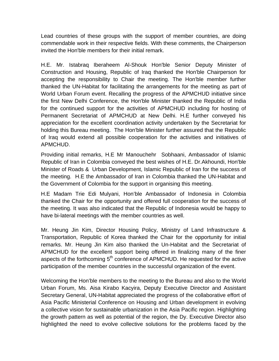Lead countries of these groups with the support of member countries, are doing commendable work in their respective fields. With these comments, the Chairperson invited the Hon'ble members for their initial remark.

H.E. Mr. Istabraq Iberaheem Al-Shouk Hon'ble Senior Deputy Minister of Construction and Housing, Republic of Iraq thanked the Hon'ble Chairperson for accepting the responsibility to Chair the meeting. The Hon'ble member further thanked the UN-Habitat for facilitating the arrangements for the meeting as part of World Urban Forum event. Recalling the progress of the APMCHUD initiative since the first New Delhi Conference, the Hon'ble Minister thanked the Republic of India for the continued support for the activities of APMCHUD including for hosting of Permanent Secretariat of APMCHUD at New Delhi. H.E further conveyed his appreciation for the excellent coordination activity undertaken by the Secretariat for holding this Bureau meeting. The Hon'ble Minister further assured that the Republic of Iraq would extend all possible cooperation for the activities and initiatives of APMCHUD.

Providing initial remarks, H.E Mr Manouchehr Sobhaani, Ambassador of Islamic Republic of Iran in Colombia conveyed the best wishes of H.E. Dr.Akhoundi, Hon'ble Minister of Roads & Urban Development, Islamic Republic of Iran for the success of the meeting. H.E the Ambassador of Iran in Colombia thanked the UN-Habitat and the Government of Colombia for the support in organising this meeting.

H.E Madam Trie Edi Mulyani, Hon'ble Ambassador of Indonesia in Colombia thanked the Chair for the opportunity and offered full cooperation for the success of the meeting. It was also indicated that the Republic of Indonesia would be happy to have bi-lateral meetings with the member countries as well.

Mr. Heung Jin Kim, Director Housing Policy, Ministry of Land Infrastructure & Transportation, Republic of Korea thanked the Chair for the opportunity for initial remarks. Mr. Heung Jin Kim also thanked the Un-Habitat and the Secretariat of APMCHUD for the excellent support being offered in finalizing many of the finer aspects of the forthcoming  $5<sup>th</sup>$  conference of APMCHUD. He requested for the active participation of the member countries in the successful organization of the event.

Welcoming the Hon'ble members to the meeting to the Bureau and also to the World Urban Forum, Ms. Aisa Kirabo Kacyira, Deputy Executive Director and Assistant Secretary General, UN-Habitat appreciated the progress of the collaborative effort of Asia Pacific Ministerial Conference on Housing and Urban development in evolving a collective vision for sustainable urbanization in the Asia Pacific region. Highlighting the growth pattern as well as potential of the region, the Dy. Executive Director also highlighted the need to evolve collective solutions for the problems faced by the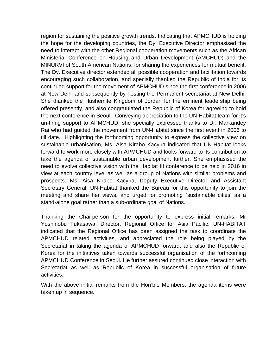region for sustaining the positive growth trends. Indicating that APMCHUD is holding the hope for the developing countries, the Dy. Executive Director emphasised the need to interact with the other Regional cooperation movements such as the African Ministerial Conference on Housing and Urban Development (AMCHUD) and the MINURVI of South American Nations, for sharing the experiences for mutual benefit. The Dy. Executive director extended all possible cooperation and facilitation towards encouraging such collaboration, and specially thanked the Republic of India for its continued support for the movement of APMCHUD since the first conference in 2006 at New Delhi and subsequently by hosting the Permanent secretariat at New Delhi. She thanked the Hashemite Kingdom of Jordan for the eminent leadership being offered presently, and also congratulated the Republic of Korea for agreeing to hold the next conference in Seoul. Conveying appreciation to the UN-Habitat team for it's un-tiring support to APMCHUD, she specially expressed thanks to Dr. Markandey Rai who had guided the movement from UN-Habitat since the first event in 2006 to till date. Highlighting the forthcoming opportunity to express the collective view on sustainable urbanisation, Ms. Aisa Kirabo Kacyira indicated that UN-Habitat looks forward to work more closely with APMCHUD and looks forward to its contribution to take the agenda of sustainable urban development further. She emphasised the need to evolve collective vision with the Habitat III conference to be held in 2016 in view at each country level as well as a group of Nations with similar problems and prospects. Ms. Aisa Kirabo Kacyira, Deputy Executive Director and Assistant Secretary General, UN-Habitat thanked the Bureau for this opportunity to join the meeting and share her views, and urged for promoting `sustainable cities' as a stand-alone goal rather than a sub-ordinate goal of Nations.

Thanking the Chairperson for the opportunity to express initial remarks, Mr Yoshinobu Fukasawa, Director, Regional Office for Asia Pacific, UN-HABITAT indicated that the Regional Office has been assigned the task to coordinate the APMCHUD related activities, and appreciated the role being played by the Secretariat in taking the agenda of APMCHUD forward, and also the Republic of Korea for the initiatives taken towards successful organisation of the forthcoming APMCHUD Conference in Seoul. He further assured continued close interaction with Secretariat as well as Republic of Korea in successful organisation of future activities.

With the above initial remarks from the Hon'ble Members, the agenda items were taken up in sequence.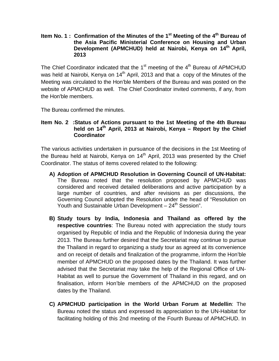### **Item No. 1 : Confirmation of the Minutes of the 1<sup>st</sup> Meeting of the 4<sup>th</sup> Bureau of the Asia Pacific Ministerial Conference on Housing and Urban Development (APMCHUD) held at Nairobi, Kenya on 14th April, 2013**

The Chief Coordinator indicated that the  $1<sup>st</sup>$  meeting of the  $4<sup>th</sup>$  Bureau of APMCHUD was held at Nairobi, Kenya on  $14<sup>th</sup>$  April, 2013 and that a copy of the Minutes of the Meeting was circulated to the Hon'ble Members of the Bureau and was posted on the website of APMCHUD as well. The Chief Coordinator invited comments, if any, from the Hon'ble members.

The Bureau confirmed the minutes.

### **Item No. 2 :Status of Actions pursuant to the 1st Meeting of the 4th Bureau** held on 14<sup>th</sup> April, 2013 at Nairobi, Kenya – Report by the Chief **Coordinator**

The various activities undertaken in pursuance of the decisions in the 1st Meeting of the Bureau held at Nairobi, Kenya on  $14<sup>th</sup>$  April, 2013 was presented by the Chief Coordinator. The status of items covered related to the following:

- **A) Adoption of APMCHUD Resolution in Governing Council of UN-Habitat:**  The Bureau noted that the resolution proposed by APMCHUD was considered and received detailed deliberations and active participation by a large number of countries, and after revisions as per discussions, the Governing Council adopted the Resolution under the head of "Resolution on Youth and Sustainable Urban Development - 24<sup>th</sup> Session".
- **B) Study tours by India, Indonesia and Thailand as offered by the respective countries**: The Bureau noted with appreciation the study tours organised by Republic of India and the Republic of Indonesia during the year 2013. The Bureau further desired that the Secretariat may continue to pursue the Thailand in regard to organizing a study tour as agreed at its convenience and on receipt of details and finalization of the programme, inform the Hon'ble member of APMCHUD on the proposed dates by the Thailand. It was further advised that the Secretariat may take the help of the Regional Office of UN-Habitat as well to pursue the Government of Thailand in this regard, and on finalisation, inform Hon'ble members of the APMCHUD on the proposed dates by the Thailand.
- **C) APMCHUD participation in the World Urban Forum at Medellin**: The Bureau noted the status and expressed its appreciation to the UN-Habitat for facilitating holding of this 2nd meeting of the Fourth Bureau of APMCHUD. In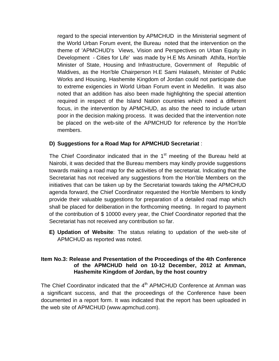regard to the special intervention by APMCHUD in the Ministerial segment of the World Urban Forum event, the Bureau noted that the intervention on the theme of 'APMCHUD's Views, Vision and Perspectives on Urban Equity in Development - Cities for Life' was made by H.E Ms Aminath Athifa, Hon'ble Minister of State, Housing and Infrastructure, Government of Republic of Maldives, as the Hon'ble Chairperson H.E Sami Halaseh, Minister of Public Works and Housing, Hashemite Kingdom of Jordan could not participate due to extreme exigencies in World Urban Forum event in Medellin. It was also noted that an addition has also been made highlighting the special attention required in respect of the Island Nation countries which need a different focus, in the intervention by APMCHUD, as also the need to include urban poor in the decision making process. It was decided that the intervention note be placed on the web-site of the APMCHUD for reference by the Hon'ble members.

# **D) Suggestions for a Road Map for APMCHUD Secretariat** :

The Chief Coordinator indicated that in the  $1<sup>st</sup>$  meeting of the Bureau held at Nairobi, it was decided that the Bureau members may kindly provide suggestions towards making a road map for the activities of the secretariat. Indicating that the Secretariat has not received any suggestions from the Hon'ble Members on the initiatives that can be taken up by the Secretariat towards taking the APMCHUD agenda forward, the Chief Coordinator requested the Hon'ble Members to kindly provide their valuable suggestions for preparation of a detailed road map which shall be placed for deliberation in the forthcoming meeting. In regard to payment of the contribution of \$ 10000 every year, the Chief Coordinator reported that the Secretariat has not received any contribution so far.

**E) Updation of Website**: The status relating to updation of the web-site of APMCHUD as reported was noted.

### **Item No.3: Release and Presentation of the Proceedings of the 4th Conference of the APMCHUD held on 10-12 December, 2012 at Amman, Hashemite Kingdom of Jordan, by the host country**

The Chief Coordinator indicated that the  $4<sup>th</sup>$  APMCHUD Conference at Amman was a significant success, and that the proceedings of the Conference have been documented in a report form. It was indicated that the report has been uploaded in the web site of APMCHUD (www.apmchud.com).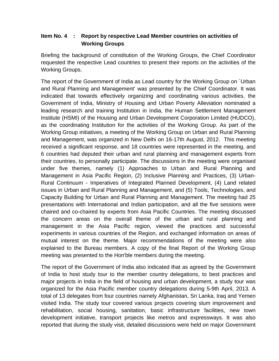# **Item No. 4 : Report by respective Lead Member countries on activities of Working Groups**

Briefing the background of constitution of the Working Groups, the Chief Coordinator requested the respective Lead countries to present their reports on the activities of the Working Groups.

The report of the Government of India as Lead country for the Working Group on `Urban and Rural Planning and Management' was presented by the Chief Coordinator. It was indicated that towards effectively organizing and coordinating various activities, the Government of India, Ministry of Housing and Urban Poverty Alleviation nominated a leading research and training Institution in India, the Human Settlement Management Institute (HSMI) of the Housing and Urban Development Corporation Limited (HUDCO), as the coordinating Institution for the activities of the Working Group. As part of the Working Group initiatives, a meeting of the Working Group on Urban and Rural Planning and Management, was organized in New Delhi on 16-17th August, 2012. This meeting received a significant response, and 18 countries were represented in the meeting, and 6 countries had deputed their urban and rural planning and management experts from their countries, to personally participate. The discussions in the meeting were organised under five themes, namely (1) Approaches to Urban and Rural Planning and Management in Asia Pacific Region, (2) Inclusive Planning and Practices, (3) Urban-Rural Continuum - Imperatives of Integrated Planned Development, (4) Land related issues in Urban and Rural Planning and Management, and (5) Tools, Technologies, and Capacity Building for Urban and Rural Planning and Management. The meeting had 25 presentations with International and Indian participation, and all the five sessions were chaired and co-chaired by experts from Asia Pacific Countries. The meeting discussed the concern areas on the overall theme of the urban and rural planning and management in the Asia Pacific region, viewed the practices and successful experiments in various countries of the Region, and exchanged information on areas of mutual interest on the theme. Major recommendations of the meeting were also explained to the Bureau members. A copy of the final Report of the Working Group meeting was presented to the Hon'ble members during the meeting.

The report of the Government of India also indicated that as agreed by the Government of India to host study tour to the member country delegations, to best practices and major projects in India in the field of housing and urban development, a study tour was organized for the Asia Pacific member country delegations during 5-9th April, 2013. A total of 13 delegates from four countries namely Afghanistan, Sri Lanka, Iraq and Yemen visited India. The study tour covered various projects covering slum improvement and rehabilitation, social housing, sanitation, basic infrastructure facilities, new town development initiative, transport projects like metros and expressways. It was also reported that during the study visit, detailed discussions were held on major Government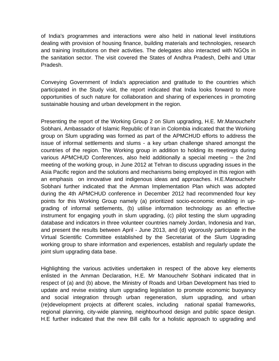of India's programmes and interactions were also held in national level institutions dealing with provision of housing finance, building materials and technologies, research and training Institutions on their activities. The delegates also interacted with NGOs in the sanitation sector. The visit covered the States of Andhra Pradesh, Delhi and Uttar Pradesh.

Conveying Government of India's appreciation and gratitude to the countries which participated in the Study visit, the report indicated that India looks forward to more opportunities of such nature for collaboration and sharing of experiences in promoting sustainable housing and urban development in the region.

Presenting the report of the Working Group 2 on Slum upgrading, H.E. Mr.Manouchehr Sobhani, Ambassador of Islamic Republic of Iran in Colombia indicated that the Working group on Slum upgrading was formed as part of the APMCHUD efforts to address the issue of informal settlements and slums - a key urban challenge shared amongst the countries of the region. The Working group in addition to holding its meetings during various APMCHUD Conferences, also held additionally a special meeting – the 2nd meeting of the working group, in June 2012 at Tehran to discuss upgrading issues in the Asia Pacific region and the solutions and mechanisms being employed in this region with an emphasis on innovative and indigenous ideas and approaches. H.E.Manouchehr Sobhani further indicated that the Amman Implementation Plan which was adopted during the 4th APMCHUD conference in December 2012 had recommended four key points for this Working Group namely (a) prioritized socio-economic enabling in upgrading of informal settlements, (b) utilise information technology as an effective instrument for engaging youth in slum upgrading, (c) pilot testing the slum upgrading database and indicators in three volunteer countries namely Jordan, Indonesia and Iran, and present the results between April - June 2013, and (d) vigorously participate in the Virtual Scientific Committee established by the Secretariat of the Slum Upgrading working group to share information and experiences, establish and regularly update the joint slum upgrading data base.

Highlighting the various activities undertaken in respect of the above key elements enlisted in the Amman Declaration, H.E. Mr Manouchehr Sobhani indicated that in respect of (a) and (b) above, the Ministry of Roads and Urban Development has tried to update and revise existing slum upgrading legislation to promote economic buoyancy and social integration through urban regeneration, slum upgrading, and urban (re)development projects at different scales, including national spatial frameworks, regional planning, city-wide planning, neighbourhood design and public space design. H.E further indicated that the new Bill calls for a holistic approach to upgrading and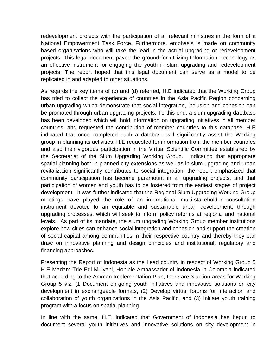redevelopment projects with the participation of all relevant ministries in the form of a National Empowerment Task Force. Furthermore, emphasis is made on community based organisations who will take the lead in the actual upgrading or redevelopment projects. This legal document paves the ground for utilizing Information Technology as an effective instrument for engaging the youth in slum upgrading and redevelopment projects. The report hoped that this legal document can serve as a model to be replicated in and adapted to other situations.

As regards the key items of (c) and (d) referred, H.E indicated that the Working Group has tried to collect the experience of countries in the Asia Pacific Region concerning urban upgrading which demonstrate that social integration, inclusion and cohesion can be promoted through urban upgrading projects. To this end, a slum upgrading database has been developed which will hold information on upgrading initiatives in all member countries, and requested the contribution of member countries to this database. H.E indicated that once completed such a database will significantly assist the Working group in planning its activities. H.E requested for information from the member countries and also their vigorous participation in the Virtual Scientific Committee established by the Secretariat of the Slum Upgrading Working Group. Indicating that appropriate spatial planning both in planned city extensions as well as in slum upgrading and urban revitalization significantly contributes to social integration, the report emphasized that community participation has become paramount in all upgrading projects, and that participation of women and youth has to be fostered from the earliest stages of project development. It was further indicated that the Regional Slum Upgrading Working Group meetings have played the role of an international multi-stakeholder consultation instrument devoted to an equitable and sustainable urban development, through upgrading processes, which will seek to inform policy reforms at regional and national levels. As part of its mandate, the slum upgrading Working Group member institutions explore how cities can enhance social integration and cohesion and support the creation of social capital among communities in their respective country and thereby they can draw on innovative planning and design principles and institutional, regulatory and financing approaches.

Presenting the Report of Indonesia as the Lead country in respect of Working Group 5 H.E Madam Trie Edi Mulyani, Hon'ble Ambassador of Indonesia in Colombia indicated that according to the Amman Implementation Plan, there are 3 action areas for Working Group 5 viz. (1 Document on-going youth initiatives and innovative solutions on city development in exchangeable formats, (2) Develop virtual forums for interaction and collaboration of youth organizations in the Asia Pacific, and (3) Initiate youth training program with a focus on spatial planning.

In line with the same, H.E. indicated that Government of Indonesia has begun to document several youth initiatives and innovative solutions on city development in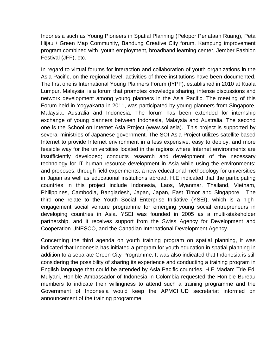Indonesia such as Young Pioneers in Spatial Planning (Pelopor Penataan Ruang), Peta Hijau / Green Map Community, Bandung Creative City forum, Kampung improvement program combined with youth employment, broadband learning center, Jember Fashion Festival (JFF), etc.

In regard to virtual forums for interaction and collaboration of youth organizations in the Asia Pacific, on the regional level, activities of three institutions have been documented. The first one is International Young Planners Forum (IYPF), established in 2010 at Kuala Lumpur, Malaysia, is a forum that promotes knowledge sharing, intense discussions and network development among young planners in the Asia Pacific. The meeting of this Forum held in Yogyakarta in 2011, was participated by young planners from Singapore, Malaysia, Australia and Indonesia. The forum has been extended for internship exchange of young planners between Indonesia, Malaysia and Australia. The second one is the School on Internet Asia Project (www.soi.asia). This project is supported by several ministries of Japanese government. The SOI-Asia Project utilizes satellite based Internet to provide Internet environment in a less expensive, easy to deploy, and more feasible way for the universities located in the regions where Internet environments are insufficiently developed; conducts research and development of the necessary technology for IT human resource development in Asia while using the environments; and proposes, through field experiments, a new educational methodology for universities in Japan as well as educational institutions abroad. H.E indicated that the participating countries in this project include Indonesia, Laos, Myanmar, Thailand, Vietnam, Philippines, Cambodia, Bangladesh, Japan, Japan, East Timor and Singapore. The third one relate to the Youth Social Enterprise Initiative (YSEI), which is a highengagement social venture programme for emerging young social entrepreneurs in developing countries in Asia. YSEI was founded in 2005 as a multi-stakeholder partnership, and it receives support from the Swiss Agency for Development and Cooperation UNESCO, and the Canadian International Development Agency.

Concerning the third agenda on youth training program on spatial planning, it was indicated that Indonesia has initiated a program for youth education in spatial planning in addition to a separate Green City Programme. It was also indicated that Indonesia is still considering the possibility of sharing its experience and conducting a training program in English language that could be attended by Asia Pacific countries. H.E Madam Trie Edi Mulyani, Hon'ble Ambassador of Indonesia in Colombia requested the Hon'ble Bureau members to indicate their willingness to attend such a training programme and the Government of Indonesia would keep the APMCHUD secretariat informed on announcement of the training programme.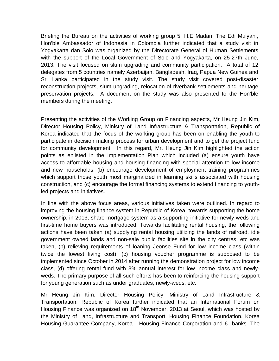Briefing the Bureau on the activities of working group 5, H.E Madam Trie Edi Mulyani, Hon'ble Ambassador of Indonesia in Colombia further indicated that a study visit in Yogyakarta dan Solo was organized by the Directorate General of Human Settlements with the support of the Local Government of Solo and Yogyakarta, on 25-27th June, 2013. The visit focused on slum upgrading and community participation. A total of 12 delegates from 5 countries namely Azerbaijan, Bangladesh, Iraq, Papua New Guinea and Sri Lanka participated in the study visit. The study visit covered post-disaster reconstruction projects, slum upgrading, relocation of riverbank settlements and heritage preservation projects. A document on the study was also presented to the Hon'ble members during the meeting.

Presenting the activities of the Working Group on Financing aspects, Mr Heung Jin Kim, Director Housing Policy, Ministry of Land Infrastructure & Transportation, Republic of Korea indicated that the focus of the working group has been on enabling the youth to participate in decision making process for urban development and to get the project fund for community development. In this regard, Mr. Heung Jin Kim highlighted the action points as enlisted in the Implementation Plan which included (a) ensure youth have access to affordable housing and housing financing with special attention to low income and new households, (b) encourage development of employment training programmes which support those youth most marginalized in learning skills associated with housing construction, and (c) encourage the formal financing systems to extend financing to youthled projects and initiatives.

In line with the above focus areas, various initiatives taken were outlined. In regard to improving the housing finance system in Republic of Korea, towards supporting the home ownership, in 2013, share mortgage system as a supporting initiative for newly-weds and first-time home buyers was introduced. Towards facilitating rental housing, the following actions have been taken (a) supplying rental housing utilizing the lands of railroad, idle government owned lands and non-sale public facilities site in the city centres, etc was taken, (b) relieving requirements of loaning Jeonse Fund for low income class (within twice the lowest living cost), (c) housing voucher programme is supposed to be implemented since October in 2014 after running the demonstration project for low income class, (d) offering rental fund with 3% annual interest for low income class and newlyweds. The primary purpose of all such efforts has been to reinforcing the housing support for young generation such as under graduates, newly-weds, etc.

Mr Heung Jin Kim, Director Housing Policy, Ministry of Land Infrastructure & Transportation, Republic of Korea further indicated that an International Forum on Housing Finance was organized on 18<sup>th</sup> November, 2013 at Seoul, which was hosted by the Ministry of Land, Infrastructure and Transport, Housing Finance Foundation, Korea Housing Guarantee Company, Korea Housing Finance Corporation and 6 banks. The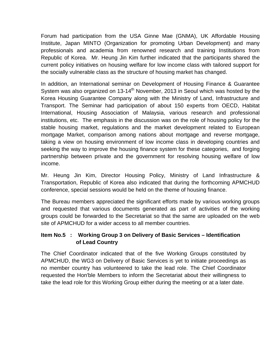Forum had participation from the USA Ginne Mae (GNMA), UK Affordable Housing Institute, Japan MINTO (Organization for promoting Urban Development) and many professionals and academia from renowned research and training Institutions from Republic of Korea. Mr. Heung Jin Kim further indicated that the participants shared the current policy initiatives on housing welfare for low income class with tailored support for the socially vulnerable class as the structure of housing market has changed.

In addition, an International seminar on Development of Housing Finance & Guarantee System was also organized on 13-14<sup>th</sup> November, 2013 in Seoul which was hosted by the Korea Housing Guarantee Company along with the Ministry of Land, Infrastructure and Transport. The Seminar had participation of about 150 experts from OECD, Habitat International, Housing Association of Malaysia, various research and professional institutions, etc. The emphasis in the discussion was on the role of housing policy for the stable housing market, regulations and the market development related to European mortgage Market, comparison among nations about mortgage and reverse mortgage, taking a view on housing environment of low income class in developing countries and seeking the way to improve the housing finance system for these categories, and forging partnership between private and the government for resolving housing welfare of low income.

Mr. Heung Jin Kim, Director Housing Policy, Ministry of Land Infrastructure & Transportation, Republic of Korea also indicated that during the forthcoming APMCHUD conference, special sessions would be held on the theme of housing finance.

The Bureau members appreciated the significant efforts made by various working groups and requested that various documents generated as part of activities of the working groups could be forwarded to the Secretariat so that the same are uploaded on the web site of APMCHUD for a wider access to all member countries.

# **Item No.5 : Working Group 3 on Delivery of Basic Services – Identification of Lead Country**

The Chief Coordinator indicated that of the five Working Groups constituted by APMCHUD, the WG3 on Delivery of Basic Services is yet to initiate proceedings as no member country has volunteered to take the lead role. The Chief Coordinator requested the Hon'ble Members to inform the Secretariat about their willingness to take the lead role for this Working Group either during the meeting or at a later date.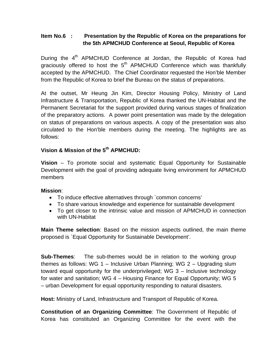# **Item No.6 : Presentation by the Republic of Korea on the preparations for the 5th APMCHUD Conference at Seoul, Republic of Korea**

During the 4<sup>th</sup> APMCHUD Conference at Jordan, the Republic of Korea had graciously offered to host the  $5<sup>th</sup>$  APMCHUD Conference which was thankfully accepted by the APMCHUD. The Chief Coordinator requested the Hon'ble Member from the Republic of Korea to brief the Bureau on the status of preparations.

At the outset, Mr Heung Jin Kim, Director Housing Policy, Ministry of Land Infrastructure & Transportation, Republic of Korea thanked the UN-Habitat and the Permanent Secretariat for the support provided during various stages of finalization of the preparatory actions. A power point presentation was made by the delegation on status of preparations on various aspects. A copy of the presentation was also circulated to the Hon'ble members during the meeting. The highlights are as follows:

# **Vision & Mission of the 5th APMCHUD:**

**Vision** – To promote social and systematic Equal Opportunity for Sustainable Development with the goal of providing adequate living environment for APMCHUD members

# **Mission**:

- To induce effective alternatives through `common concerns'
- To share various knowledge and experience for sustainable development
- To get closer to the intrinsic value and mission of APMCHUD in connection with UN-Habitat

**Main Theme selection**: Based on the mission aspects outlined, the main theme proposed is `Equal Opportunity for Sustainable Development'.

**Sub-Themes:** The sub-themes would be in relation to the working group themes as follows: WG 1 – Inclusive Urban Planning; WG 2 – Upgrading slum toward equal opportunity for the underprivileged; WG 3 – Inclusive technology for water and sanitation; WG 4 – Housing Finance for Equal Opportunity; WG 5 – urban Development for equal opportunity responding to natural disasters.

**Host:** Ministry of Land, Infrastructure and Transport of Republic of Korea.

**Constitution of an Organizing Committee**: The Government of Republic of Korea has constituted an Organizing Committee for the event with the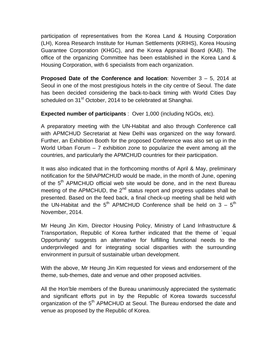participation of representatives from the Korea Land & Housing Corporation (LH), Korea Research Institute for Human Settlements (KRIHS), Korea Housing Guarantee Corporation (KHGC), and the Korea Appraisal Board (KAB). The office of the organizing Committee has been established in the Korea Land & Housing Corporation, with 6 specialists from each organization.

**Proposed Date of the Conference and location**: November 3 – 5, 2014 at Seoul in one of the most prestigious hotels in the city centre of Seoul. The date has been decided considering the back-to-back timing with World Cities Day scheduled on 31<sup>st</sup> October, 2014 to be celebrated at Shanghai.

**Expected number of participants** : Over 1,000 (including NGOs, etc).

A preparatory meeting with the UN-Habitat and also through Conference call with APMCHUD Secretariat at New Delhi was organized on the way forward. Further, an Exhibition Booth for the proposed Conference was also set up in the World Urban Forum  $-7$  exhibition zone to popularize the event among all the countries, and particularly the APMCHUD countries for their participation.

It was also indicated that in the forthcoming months of April & May, preliminary notification for the 5thAPMCHUD would be made, in the month of June, opening of the 5<sup>th</sup> APMCHUD official web site would be done, and in the next Bureau meeting of the APMCHUD, the  $2<sup>nd</sup>$  status report and progress updates shall be presented. Based on the feed back, a final check-up meeting shall be held with the UN-Habitat and the  $5<sup>th</sup>$  APMCHUD Conference shall be held on 3 –  $5<sup>th</sup>$ November, 2014.

Mr Heung Jin Kim, Director Housing Policy, Ministry of Land Infrastructure & Transportation, Republic of Korea further indicated that the theme of `equal Opportunity' suggests an alternative for fulfilling functional needs to the underprivileged and for integrating social disparities with the surrounding environment in pursuit of sustainable urban development.

With the above, Mr Heung Jin Kim requested for views and endorsement of the theme, sub-themes, date and venue and other proposed activities.

All the Hon'ble members of the Bureau unanimously appreciated the systematic and significant efforts put in by the Republic of Korea towards successful organization of the 5<sup>th</sup> APMCHUD at Seoul. The Bureau endorsed the date and venue as proposed by the Republic of Korea.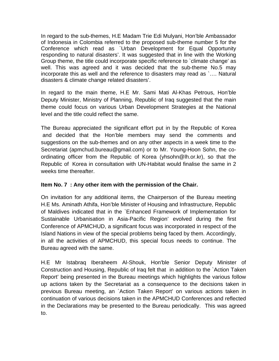In regard to the sub-themes, H.E Madam Trie Edi Mulyani, Hon'ble Ambassador of Indonesia in Colombia referred to the proposed sub-theme number 5 for the Conference which read as `Urban Development for Equal Opportunity responding to natural disasters'. It was suggested that in line with the Working Group theme, the title could incorporate specific reference to `climate change' as well. This was agreed and it was decided that the sub-theme No.5 may incorporate this as well and the reference to disasters may read as `…. Natural disasters & climate change related disasters'.

In regard to the main theme, H.E Mr. Sami Mati Al-Khas Petrous, Hon'ble Deputy Minister, Ministry of Planning, Republic of Iraq suggested that the main theme could focus on various Urban Development Strategies at the National level and the title could reflect the same.

The Bureau appreciated the significant effort put in by the Republic of Korea and decided that the Hon'ble members may send the comments and suggestions on the sub-themes and on any other aspects in a week time to the Secretariat (apmchud.bureau@gmail.com) or to Mr. Young-Hoon Sohn, the coordinating officer from the Republic of Korea (yhsohn@lh.or.kr), so that the Republic of Korea in consultation with UN-Habitat would finalise the same in 2 weeks time thereafter.

# **Item No. 7 : Any other item with the permission of the Chair.**

On invitation for any additional items, the Chairperson of the Bureau meeting H.E Ms. Aminath Athifa, Hon'ble Minister of Housing and Infrastructure, Republic of Maldives indicated that in the `Enhanced Framework of Implementation for Sustainable Urbanisation in Asia-Pacific Region' evolved during the first Conference of APMCHUD, a significant focus was incorporated in respect of the Island Nations in view of the special problems being faced by them. Accordingly, in all the activities of APMCHUD, this special focus needs to continue. The Bureau agreed with the same.

H.E Mr Istabraq Iberaheem Al-Shouk, Hon'ble Senior Deputy Minister of Construction and Housing, Republic of Iraq felt that in addition to the `Action Taken Report' being presented in the Bureau meetings which highlights the various follow up actions taken by the Secretariat as a consequence to the decisions taken in previous Bureau meeting, an `Action Taken Report' on various actions taken in continuation of various decisions taken in the APMCHUD Conferences and reflected in the Declarations may be presented to the Bureau periodically. This was agreed to.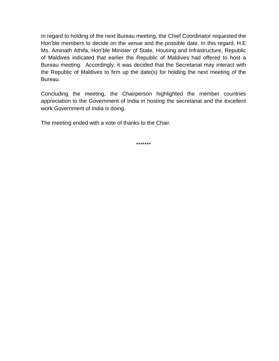In regard to holding of the next Bureau meeting, the Chief Coordinator requested the Hon'ble members to decide on the venue and the possible date. In this regard, H.E Ms. Aminath Athifa, Hon'ble Minister of State, Housing and Infrastructure, Republic of Maldives indicated that earlier the Republic of Maldives had offered to host a Bureau meeting. Accordingly, it was decided that the Secretariat may interact with the Republic of Maldives to firm up the date(s) for holding the next meeting of the Bureau.

Concluding the meeting, the Chairperson highlighted the member countries appreciation to the Government of India in hosting the secretariat and the excellent work Government of India is doing.

The meeting ended with a vote of thanks to the Chair.

\*\*\*\*\*\*\*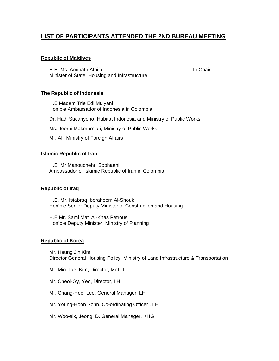# **LIST OF PARTICIPANTS ATTENDED THE 2ND BUREAU MEETING**

#### **Republic of Maldives**

H.E. Ms. Aminath Athifa **- In Chair** - In Chair Minister of State, Housing and Infrastructure

#### **The Republic of Indonesia**

H.E Madam Trie Edi Mulyani Hon'ble Ambassador of Indonesia in Colombia

Dr. Hadi Sucahyono, Habitat Indonesia and Ministry of Public Works

Ms. Joerni Makmurniati, Ministry of Public Works

Mr. Ali, Ministry of Foreign Affairs

#### **Islamic Republic of Iran**

H.E Mr Manouchehr Sobhaani Ambassador of Islamic Republic of Iran in Colombia

#### **Republic of Iraq**

H.E. Mr. Istabraq Iberaheem Al-Shouk Hon'ble Senior Deputy Minister of Construction and Housing

H.E Mr. Sami Mati Al-Khas Petrous Hon'ble Deputy Minister, Ministry of Planning

#### **Republic of Korea**

Mr. Heung Jin Kim Director General Housing Policy, Ministry of Land Infrastructure & Transportation

Mr. Min-Tae, Kim, Director, MoLIT

Mr. Cheol-Gy, Yeo, Director, LH

Mr. Chang-Hee, Lee, General Manager, LH

Mr. Young-Hoon Sohn, Co-ordinating Officer , LH

Mr. Woo-sik, Jeong, D. General Manager, KHG